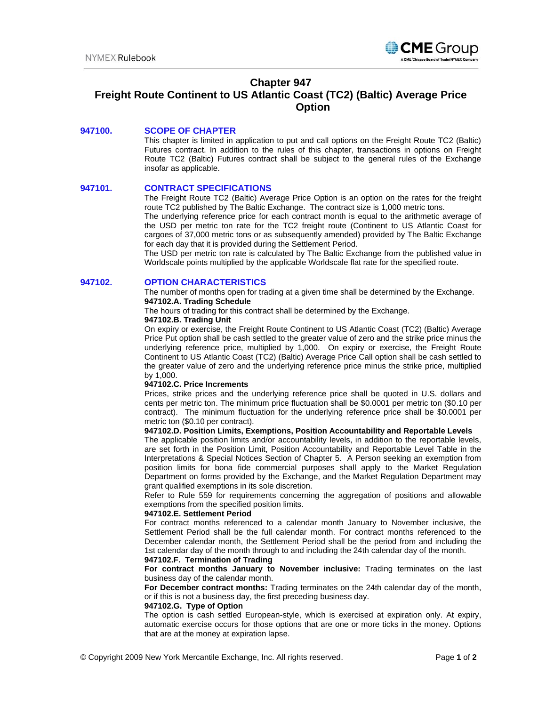

## **Chapter 947**

# **Freight Route Continent to US Atlantic Coast (TC2) (Baltic) Average Price Option**

## **947100. SCOPE OF CHAPTER**

This chapter is limited in application to put and call options on the Freight Route TC2 (Baltic) Futures contract. In addition to the rules of this chapter, transactions in options on Freight Route TC2 (Baltic) Futures contract shall be subject to the general rules of the Exchange insofar as applicable.

## **947101. CONTRACT SPECIFICATIONS**

The Freight Route TC2 (Baltic) Average Price Option is an option on the rates for the freight route TC2 published by The Baltic Exchange. The contract size is 1,000 metric tons.

The underlying reference price for each contract month is equal to the arithmetic average of the USD per metric ton rate for the TC2 freight route (Continent to US Atlantic Coast for cargoes of 37,000 metric tons or as subsequently amended) provided by The Baltic Exchange for each day that it is provided during the Settlement Period.

The USD per metric ton rate is calculated by The Baltic Exchange from the published value in Worldscale points multiplied by the applicable Worldscale flat rate for the specified route.

#### **947102. OPTION CHARACTERISTICS**

The number of months open for trading at a given time shall be determined by the Exchange. **947102.A. Trading Schedule** 

The hours of trading for this contract shall be determined by the Exchange.

#### **947102.B. Trading Unit**

On expiry or exercise, the Freight Route Continent to US Atlantic Coast (TC2) (Baltic) Average Price Put option shall be cash settled to the greater value of zero and the strike price minus the underlying reference price, multiplied by 1,000. On expiry or exercise, the Freight Route Continent to US Atlantic Coast (TC2) (Baltic) Average Price Call option shall be cash settled to the greater value of zero and the underlying reference price minus the strike price, multiplied by 1,000.

#### **947102.C. Price Increments**

Prices, strike prices and the underlying reference price shall be quoted in U.S. dollars and cents per metric ton. The minimum price fluctuation shall be \$0.0001 per metric ton (\$0.10 per contract). The minimum fluctuation for the underlying reference price shall be \$0.0001 per metric ton (\$0.10 per contract).

#### **947102.D. Position Limits, Exemptions, Position Accountability and Reportable Levels**

The applicable position limits and/or accountability levels, in addition to the reportable levels, are set forth in the Position Limit, Position Accountability and Reportable Level Table in the Interpretations & Special Notices Section of Chapter 5. A Person seeking an exemption from position limits for bona fide commercial purposes shall apply to the Market Regulation Department on forms provided by the Exchange, and the Market Regulation Department may grant qualified exemptions in its sole discretion.

Refer to Rule 559 for requirements concerning the aggregation of positions and allowable exemptions from the specified position limits.

#### **947102.E. Settlement Period**

For contract months referenced to a calendar month January to November inclusive, the Settlement Period shall be the full calendar month. For contract months referenced to the December calendar month, the Settlement Period shall be the period from and including the 1st calendar day of the month through to and including the 24th calendar day of the month.

#### **947102.F. Termination of Trading**

**For contract months January to November inclusive:** Trading terminates on the last business day of the calendar month.

**For December contract months:** Trading terminates on the 24th calendar day of the month, or if this is not a business day, the first preceding business day.

#### **947102.G. Type of Option**

The option is cash settled European-style, which is exercised at expiration only. At expiry, automatic exercise occurs for those options that are one or more ticks in the money. Options that are at the money at expiration lapse.